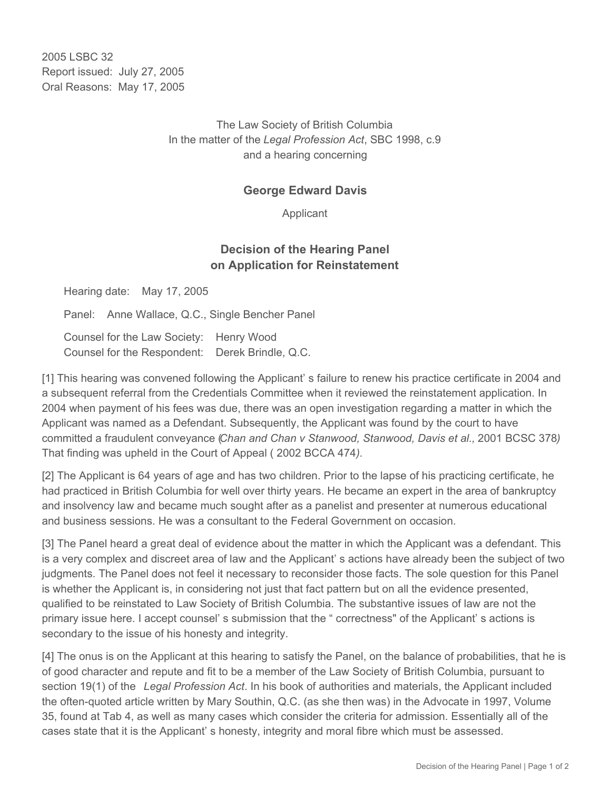2005 LSBC 32 Report issued: July 27, 2005 Oral Reasons: May 17, 2005

> The Law Society of British Columbia In the matter of the *Legal Profession Act*, SBC 1998, c.9 and a hearing concerning

## **George Edward Davis**

Applicant

## **Decision of the Hearing Panel on Application for Reinstatement**

Hearing date: May 17, 2005

Panel: Anne Wallace, Q.C., Single Bencher Panel

Counsel for the Law Society: Henry Wood Counsel for the Respondent: Derek Brindle, Q.C.

[1] This hearing was convened following the Applicant' s failure to renew his practice certificate in 2004 and a subsequent referral from the Credentials Committee when it reviewed the reinstatement application. In 2004 when payment of his fees was due, there was an open investigation regarding a matter in which the Applicant was named as a Defendant. Subsequently, the Applicant was found by the court to have committed a fraudulent conveyance (*Chan and Chan v Stanwood, Stanwood, Davis et al.,* 2001 BCSC 378*)* That finding was upheld in the Court of Appeal ( 2002 BCCA 474*).*

[2] The Applicant is 64 years of age and has two children. Prior to the lapse of his practicing certificate, he had practiced in British Columbia for well over thirty years. He became an expert in the area of bankruptcy and insolvency law and became much sought after as a panelist and presenter at numerous educational and business sessions. He was a consultant to the Federal Government on occasion.

[3] The Panel heard a great deal of evidence about the matter in which the Applicant was a defendant. This is a very complex and discreet area of law and the Applicant' s actions have already been the subject of two judgments. The Panel does not feel it necessary to reconsider those facts. The sole question for this Panel is whether the Applicant is, in considering not just that fact pattern but on all the evidence presented, qualified to be reinstated to Law Society of British Columbia. The substantive issues of law are not the primary issue here. I accept counsel' s submission that the " correctness" of the Applicant' s actions is secondary to the issue of his honesty and integrity.

[4] The onus is on the Applicant at this hearing to satisfy the Panel, on the balance of probabilities, that he is of good character and repute and fit to be a member of the Law Society of British Columbia, pursuant to section 19(1) of the *Legal Profession Act*. In his book of authorities and materials, the Applicant included the often-quoted article written by Mary Southin, Q.C. (as she then was) in the Advocate in 1997, Volume 35, found at Tab 4, as well as many cases which consider the criteria for admission. Essentially all of the cases state that it is the Applicant' s honesty, integrity and moral fibre which must be assessed.